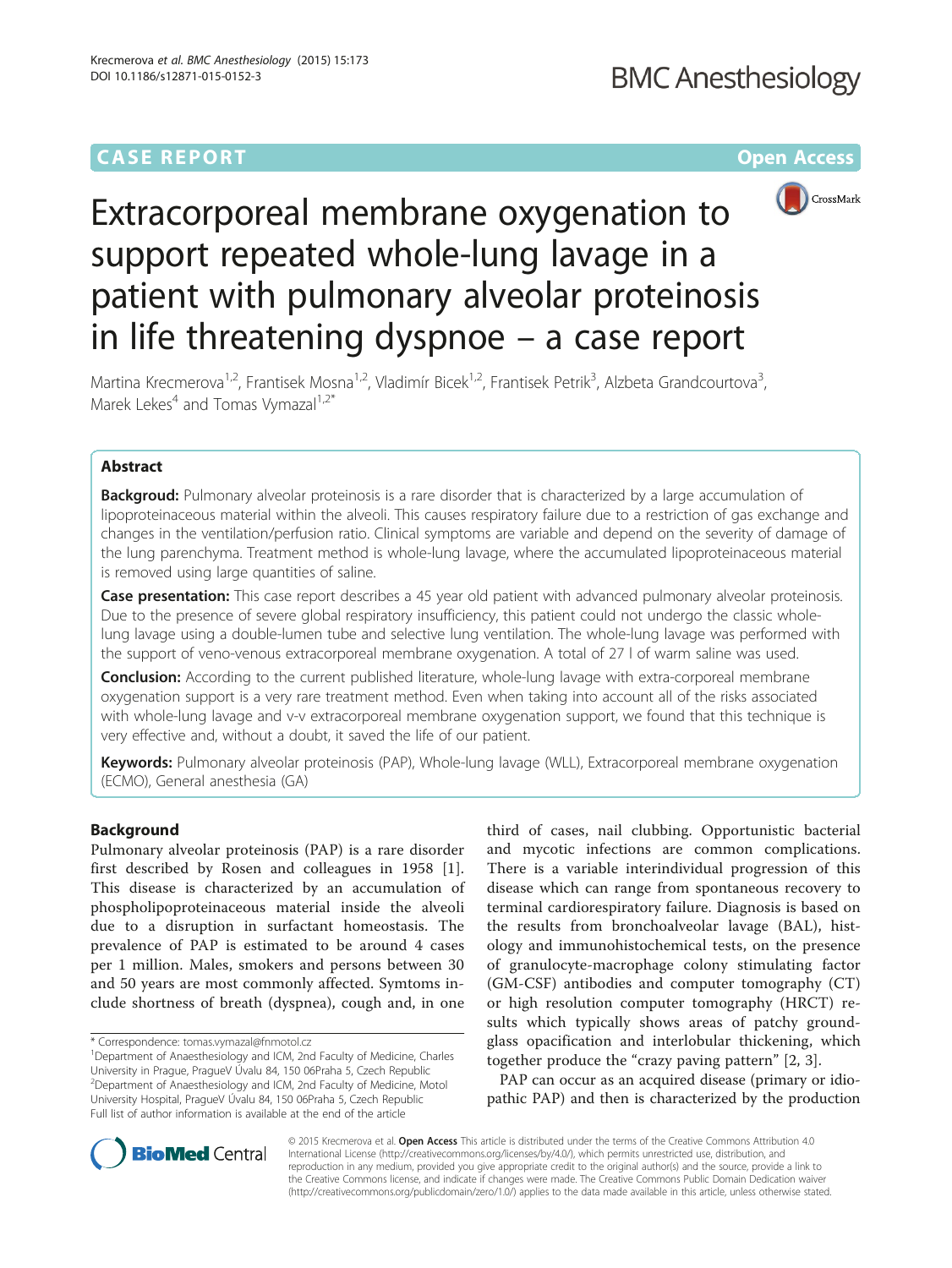# **CASE REPORT CASE REPORT CASE REPORT**



# Extracorporeal membrane oxygenation to support repeated whole-lung lavage in a patient with pulmonary alveolar proteinosis in life threatening dyspnoe – a case report

Martina Krecmerova<sup>1,2</sup>, Frantisek Mosna<sup>1,2</sup>, Vladimír Bicek<sup>1,2</sup>, Frantisek Petrik<sup>3</sup>, Alzbeta Grandcourtova<sup>3</sup> , Marek Lekes<sup>4</sup> and Tomas Vymazal<sup>1,2\*</sup>

# Abstract

Backgroud: Pulmonary alveolar proteinosis is a rare disorder that is characterized by a large accumulation of lipoproteinaceous material within the alveoli. This causes respiratory failure due to a restriction of gas exchange and changes in the ventilation/perfusion ratio. Clinical symptoms are variable and depend on the severity of damage of the lung parenchyma. Treatment method is whole-lung lavage, where the accumulated lipoproteinaceous material is removed using large quantities of saline.

Case presentation: This case report describes a 45 year old patient with advanced pulmonary alveolar proteinosis. Due to the presence of severe global respiratory insufficiency, this patient could not undergo the classic wholelung lavage using a double-lumen tube and selective lung ventilation. The whole-lung lavage was performed with the support of veno-venous extracorporeal membrane oxygenation. A total of 27 l of warm saline was used.

**Conclusion:** According to the current published literature, whole-lung lavage with extra-corporeal membrane oxygenation support is a very rare treatment method. Even when taking into account all of the risks associated with whole-lung lavage and v-v extracorporeal membrane oxygenation support, we found that this technique is very effective and, without a doubt, it saved the life of our patient.

Keywords: Pulmonary alveolar proteinosis (PAP), Whole-lung lavage (WLL), Extracorporeal membrane oxygenation (ECMO), General anesthesia (GA)

# Background

Pulmonary alveolar proteinosis (PAP) is a rare disorder first described by Rosen and colleagues in 1958 [[1](#page-4-0)]. This disease is characterized by an accumulation of phospholipoproteinaceous material inside the alveoli due to a disruption in surfactant homeostasis. The prevalence of PAP is estimated to be around 4 cases per 1 million. Males, smokers and persons between 30 and 50 years are most commonly affected. Symtoms include shortness of breath (dyspnea), cough and, in one

<sup>1</sup>Department of Anaesthesiology and ICM, 2nd Faculty of Medicine, Charles University in Prague, PragueV Úvalu 84, 150 06Praha 5, Czech Republic 2 Department of Anaesthesiology and ICM, 2nd Faculty of Medicine, Motol University Hospital, PragueV Úvalu 84, 150 06Praha 5, Czech Republic Full list of author information is available at the end of the article

third of cases, nail clubbing. Opportunistic bacterial and mycotic infections are common complications. There is a variable interindividual progression of this disease which can range from spontaneous recovery to terminal cardiorespiratory failure. Diagnosis is based on the results from bronchoalveolar lavage (BAL), histology and immunohistochemical tests, on the presence of granulocyte-macrophage colony stimulating factor (GM-CSF) antibodies and computer tomography (CT) or high resolution computer tomography (HRCT) results which typically shows areas of patchy groundglass opacification and interlobular thickening, which together produce the "crazy paving pattern" [[2, 3\]](#page-4-0).

PAP can occur as an acquired disease (primary or idiopathic PAP) and then is characterized by the production



© 2015 Krecmerova et al. Open Access This article is distributed under the terms of the Creative Commons Attribution 4.0 International License [\(http://creativecommons.org/licenses/by/4.0/](http://creativecommons.org/licenses/by/4.0/)), which permits unrestricted use, distribution, and reproduction in any medium, provided you give appropriate credit to the original author(s) and the source, provide a link to the Creative Commons license, and indicate if changes were made. The Creative Commons Public Domain Dedication waiver [\(http://creativecommons.org/publicdomain/zero/1.0/](http://creativecommons.org/publicdomain/zero/1.0/)) applies to the data made available in this article, unless otherwise stated.

<sup>\*</sup> Correspondence: [tomas.vymazal@fnmotol.cz](mailto:tomas.vymazal@fnmotol.cz) <sup>1</sup>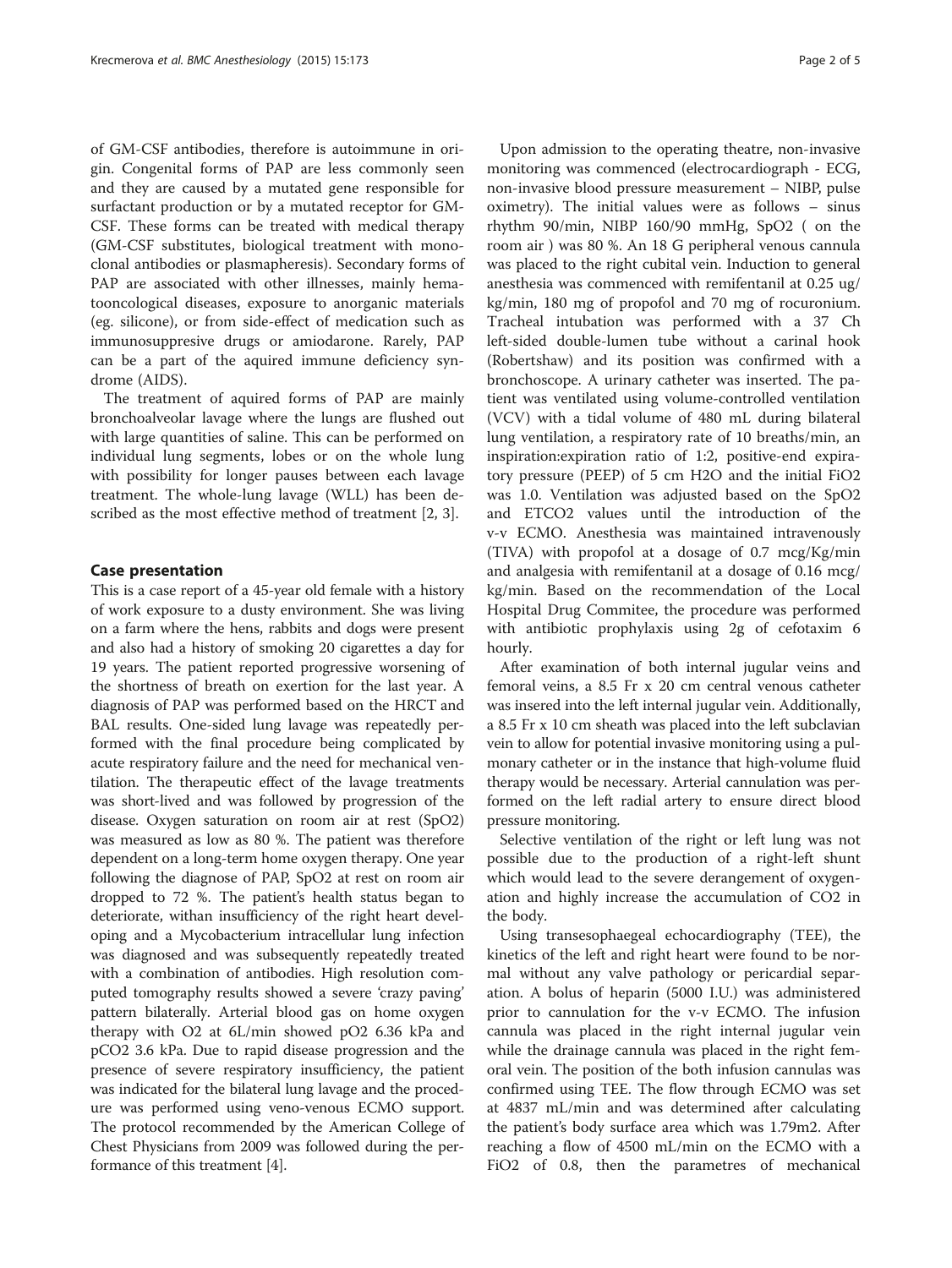of GM-CSF antibodies, therefore is autoimmune in origin. Congenital forms of PAP are less commonly seen and they are caused by a mutated gene responsible for surfactant production or by a mutated receptor for GM-CSF. These forms can be treated with medical therapy (GM-CSF substitutes, biological treatment with monoclonal antibodies or plasmapheresis). Secondary forms of PAP are associated with other illnesses, mainly hematooncological diseases, exposure to anorganic materials (eg. silicone), or from side-effect of medication such as immunosuppresive drugs or amiodarone. Rarely, PAP can be a part of the aquired immune deficiency syndrome (AIDS).

The treatment of aquired forms of PAP are mainly bronchoalveolar lavage where the lungs are flushed out with large quantities of saline. This can be performed on individual lung segments, lobes or on the whole lung with possibility for longer pauses between each lavage treatment. The whole-lung lavage (WLL) has been described as the most effective method of treatment [[2, 3\]](#page-4-0).

### Case presentation

This is a case report of a 45-year old female with a history of work exposure to a dusty environment. She was living on a farm where the hens, rabbits and dogs were present and also had a history of smoking 20 cigarettes a day for 19 years. The patient reported progressive worsening of the shortness of breath on exertion for the last year. A diagnosis of PAP was performed based on the HRCT and BAL results. One-sided lung lavage was repeatedly performed with the final procedure being complicated by acute respiratory failure and the need for mechanical ventilation. The therapeutic effect of the lavage treatments was short-lived and was followed by progression of the disease. Oxygen saturation on room air at rest (SpO2) was measured as low as 80 %. The patient was therefore dependent on a long-term home oxygen therapy. One year following the diagnose of PAP, SpO2 at rest on room air dropped to 72 %. The patient's health status began to deteriorate, withan insufficiency of the right heart developing and a Mycobacterium intracellular lung infection was diagnosed and was subsequently repeatedly treated with a combination of antibodies. High resolution computed tomography results showed a severe 'crazy paving' pattern bilaterally. Arterial blood gas on home oxygen therapy with O2 at 6L/min showed pO2 6.36 kPa and pCO2 3.6 kPa. Due to rapid disease progression and the presence of severe respiratory insufficiency, the patient was indicated for the bilateral lung lavage and the procedure was performed using veno-venous ECMO support. The protocol recommended by the American College of Chest Physicians from 2009 was followed during the performance of this treatment [[4](#page-4-0)].

Upon admission to the operating theatre, non-invasive monitoring was commenced (electrocardiograph - ECG, non-invasive blood pressure measurement – NIBP, pulse oximetry). The initial values were as follows – sinus rhythm 90/min, NIBP 160/90 mmHg, SpO2 ( on the room air ) was 80 %. An 18 G peripheral venous cannula was placed to the right cubital vein. Induction to general anesthesia was commenced with remifentanil at 0.25 ug/ kg/min, 180 mg of propofol and 70 mg of rocuronium. Tracheal intubation was performed with a 37 Ch left-sided double-lumen tube without a carinal hook (Robertshaw) and its position was confirmed with a bronchoscope. A urinary catheter was inserted. The patient was ventilated using volume-controlled ventilation (VCV) with a tidal volume of 480 mL during bilateral lung ventilation, a respiratory rate of 10 breaths/min, an inspiration:expiration ratio of 1:2, positive-end expiratory pressure (PEEP) of 5 cm H2O and the initial FiO2 was 1.0. Ventilation was adjusted based on the SpO2 and ETCO2 values until the introduction of the v-v ECMO. Anesthesia was maintained intravenously (TIVA) with propofol at a dosage of 0.7 mcg/Kg/min and analgesia with remifentanil at a dosage of 0.16 mcg/ kg/min. Based on the recommendation of the Local Hospital Drug Commitee, the procedure was performed with antibiotic prophylaxis using 2g of cefotaxim 6 hourly.

After examination of both internal jugular veins and femoral veins, a 8.5 Fr x 20 cm central venous catheter was insered into the left internal jugular vein. Additionally, a 8.5 Fr x 10 cm sheath was placed into the left subclavian vein to allow for potential invasive monitoring using a pulmonary catheter or in the instance that high-volume fluid therapy would be necessary. Arterial cannulation was performed on the left radial artery to ensure direct blood pressure monitoring.

Selective ventilation of the right or left lung was not possible due to the production of a right-left shunt which would lead to the severe derangement of oxygenation and highly increase the accumulation of CO2 in the body.

Using transesophaegeal echocardiography (TEE), the kinetics of the left and right heart were found to be normal without any valve pathology or pericardial separation. A bolus of heparin (5000 I.U.) was administered prior to cannulation for the v-v ECMO. The infusion cannula was placed in the right internal jugular vein while the drainage cannula was placed in the right femoral vein. The position of the both infusion cannulas was confirmed using TEE. The flow through ECMO was set at 4837 mL/min and was determined after calculating the patient's body surface area which was 1.79m2. After reaching a flow of 4500 mL/min on the ECMO with a FiO2 of 0.8, then the parametres of mechanical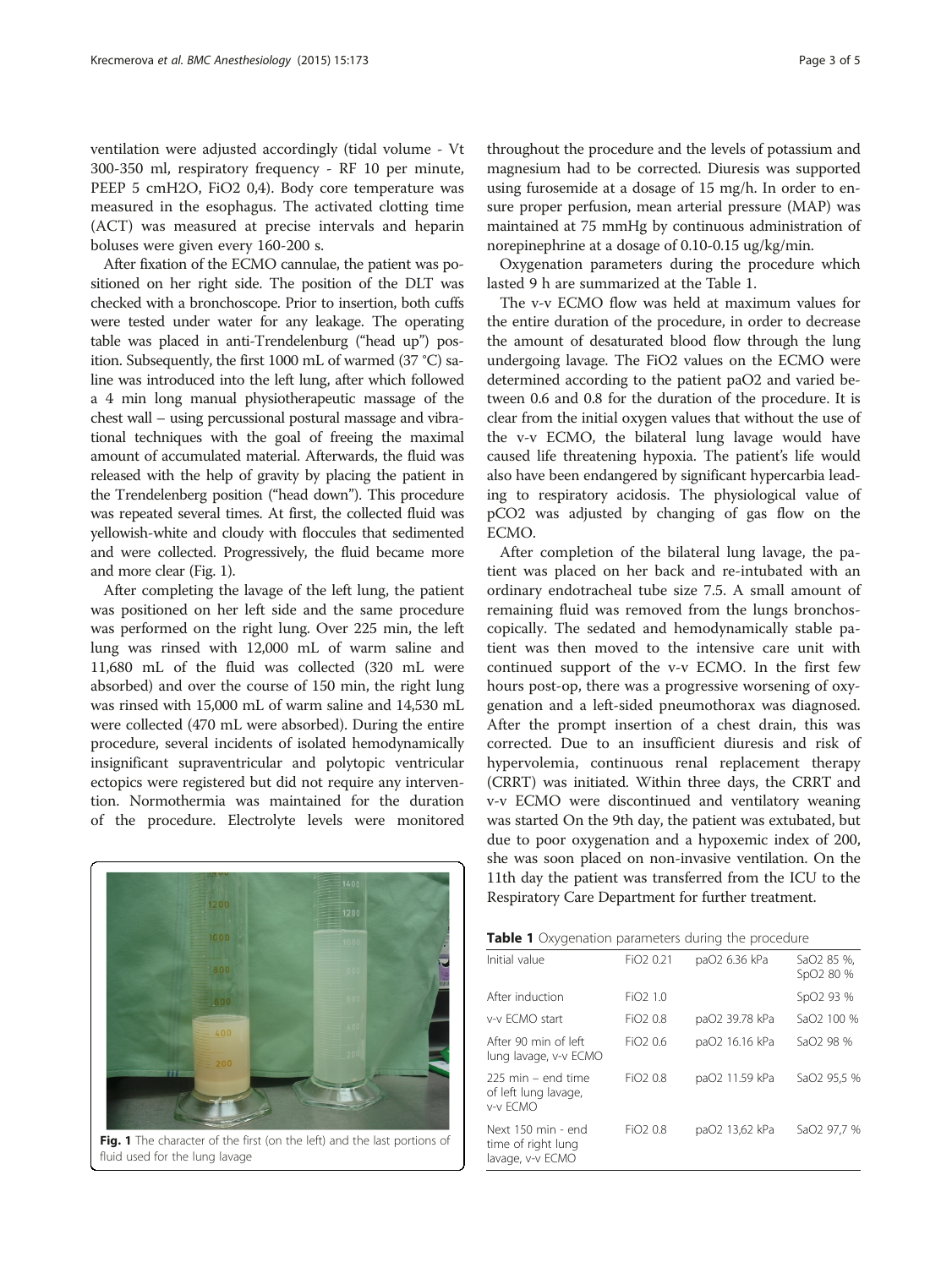ventilation were adjusted accordingly (tidal volume - Vt 300-350 ml, respiratory frequency - RF 10 per minute, PEEP 5 cmH2O, FiO2 0,4). Body core temperature was measured in the esophagus. The activated clotting time (ACT) was measured at precise intervals and heparin boluses were given every 160-200 s.

After fixation of the ECMO cannulae, the patient was positioned on her right side. The position of the DLT was checked with a bronchoscope. Prior to insertion, both cuffs were tested under water for any leakage. The operating table was placed in anti-Trendelenburg ("head up") position. Subsequently, the first 1000 mL of warmed (37 °C) saline was introduced into the left lung, after which followed a 4 min long manual physiotherapeutic massage of the chest wall – using percussional postural massage and vibrational techniques with the goal of freeing the maximal amount of accumulated material. Afterwards, the fluid was released with the help of gravity by placing the patient in the Trendelenberg position ("head down"). This procedure was repeated several times. At first, the collected fluid was yellowish-white and cloudy with floccules that sedimented and were collected. Progressively, the fluid became more and more clear (Fig. 1).

After completing the lavage of the left lung, the patient was positioned on her left side and the same procedure was performed on the right lung. Over 225 min, the left lung was rinsed with 12,000 mL of warm saline and 11,680 mL of the fluid was collected (320 mL were absorbed) and over the course of 150 min, the right lung was rinsed with 15,000 mL of warm saline and 14,530 mL were collected (470 mL were absorbed). During the entire procedure, several incidents of isolated hemodynamically insignificant supraventricular and polytopic ventricular ectopics were registered but did not require any intervention. Normothermia was maintained for the duration of the procedure. Electrolyte levels were monitored



Fig. 1 The character of the first (on the left) and the last portions of fluid used for the lung lavage

throughout the procedure and the levels of potassium and magnesium had to be corrected. Diuresis was supported using furosemide at a dosage of 15 mg/h. In order to ensure proper perfusion, mean arterial pressure (MAP) was maintained at 75 mmHg by continuous administration of norepinephrine at a dosage of 0.10-0.15 ug/kg/min.

Oxygenation parameters during the procedure which lasted 9 h are summarized at the Table 1.

The v-v ECMO flow was held at maximum values for the entire duration of the procedure, in order to decrease the amount of desaturated blood flow through the lung undergoing lavage. The FiO2 values on the ECMO were determined according to the patient paO2 and varied between 0.6 and 0.8 for the duration of the procedure. It is clear from the initial oxygen values that without the use of the v-v ECMO, the bilateral lung lavage would have caused life threatening hypoxia. The patient's life would also have been endangered by significant hypercarbia leading to respiratory acidosis. The physiological value of pCO2 was adjusted by changing of gas flow on the ECMO.

After completion of the bilateral lung lavage, the patient was placed on her back and re-intubated with an ordinary endotracheal tube size 7.5. A small amount of remaining fluid was removed from the lungs bronchoscopically. The sedated and hemodynamically stable patient was then moved to the intensive care unit with continued support of the v-v ECMO. In the first few hours post-op, there was a progressive worsening of oxygenation and a left-sided pneumothorax was diagnosed. After the prompt insertion of a chest drain, this was corrected. Due to an insufficient diuresis and risk of hypervolemia, continuous renal replacement therapy (CRRT) was initiated. Within three days, the CRRT and v-v ECMO were discontinued and ventilatory weaning was started On the 9th day, the patient was extubated, but due to poor oxygenation and a hypoxemic index of 200, she was soon placed on non-invasive ventilation. On the 11th day the patient was transferred from the ICU to the Respiratory Care Department for further treatment.

| Table 1 Oxygenation parameters during the procedure |  |  |  |  |
|-----------------------------------------------------|--|--|--|--|
|-----------------------------------------------------|--|--|--|--|

| Initial value                                                | FiO <sub>2</sub> 0.21 | paO2 6.36 kPa  | SaO2 85 %,<br>SpO <sub>2</sub> 80 % |
|--------------------------------------------------------------|-----------------------|----------------|-------------------------------------|
| After induction                                              | FiO <sub>2</sub> 1.0  |                | SpO <sub>2</sub> 93 %               |
| v-v ECMO start                                               | FiO <sub>2</sub> 0.8  | paO2 39.78 kPa | SaO2 100 %                          |
| After 90 min of left<br>lung lavage, v-v ECMO                | FiO <sub>2</sub> 0.6  | paO2 16.16 kPa | SaO2 98 %                           |
| $225$ min – end time<br>of left lung lavage,<br>v-v ECMO     | FiO <sub>2</sub> 0.8  | paO2 11.59 kPa | SaO2 95,5 %                         |
| Next 150 min - end<br>time of right lung<br>lavage, v-v ECMO | FiO <sub>2</sub> 0.8  | paO2 13,62 kPa | SaO2 97,7 %                         |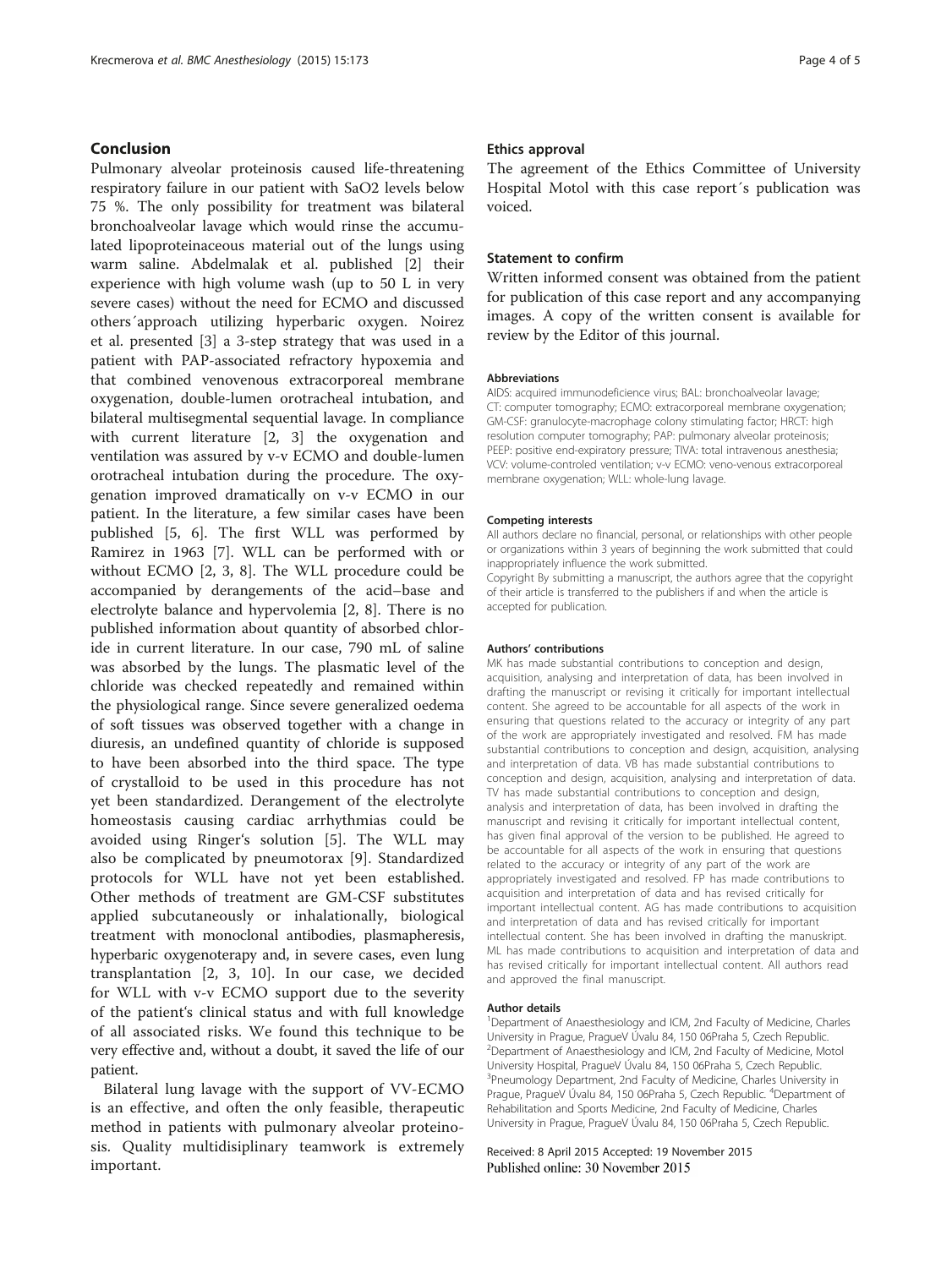## Conclusion

Pulmonary alveolar proteinosis caused life-threatening respiratory failure in our patient with SaO2 levels below 75 %. The only possibility for treatment was bilateral bronchoalveolar lavage which would rinse the accumulated lipoproteinaceous material out of the lungs using warm saline. Abdelmalak et al. published [\[2](#page-4-0)] their experience with high volume wash (up to 50 L in very severe cases) without the need for ECMO and discussed others´approach utilizing hyperbaric oxygen. Noirez et al. presented [[3\]](#page-4-0) a 3-step strategy that was used in a patient with PAP-associated refractory hypoxemia and that combined venovenous extracorporeal membrane oxygenation, double-lumen orotracheal intubation, and bilateral multisegmental sequential lavage. In compliance with current literature [[2, 3](#page-4-0)] the oxygenation and ventilation was assured by v-v ECMO and double-lumen orotracheal intubation during the procedure. The oxygenation improved dramatically on v-v ECMO in our patient. In the literature, a few similar cases have been published [\[5, 6\]](#page-4-0). The first WLL was performed by Ramirez in 1963 [\[7](#page-4-0)]. WLL can be performed with or without ECMO [\[2](#page-4-0), [3, 8\]](#page-4-0). The WLL procedure could be accompanied by derangements of the acid–base and electrolyte balance and hypervolemia [[2](#page-4-0), [8](#page-4-0)]. There is no published information about quantity of absorbed chloride in current literature. In our case, 790 mL of saline was absorbed by the lungs. The plasmatic level of the chloride was checked repeatedly and remained within the physiological range. Since severe generalized oedema of soft tissues was observed together with a change in diuresis, an undefined quantity of chloride is supposed to have been absorbed into the third space. The type of crystalloid to be used in this procedure has not yet been standardized. Derangement of the electrolyte homeostasis causing cardiac arrhythmias could be avoided using Ringer's solution [\[5](#page-4-0)]. The WLL may also be complicated by pneumotorax [[9](#page-4-0)]. Standardized protocols for WLL have not yet been established. Other methods of treatment are GM-CSF substitutes applied subcutaneously or inhalationally, biological treatment with monoclonal antibodies, plasmapheresis, hyperbaric oxygenoterapy and, in severe cases, even lung transplantation [[2, 3](#page-4-0), [10\]](#page-4-0). In our case, we decided for WLL with v-v ECMO support due to the severity of the patient's clinical status and with full knowledge of all associated risks. We found this technique to be very effective and, without a doubt, it saved the life of our patient.

Bilateral lung lavage with the support of VV-ECMO is an effective, and often the only feasible, therapeutic method in patients with pulmonary alveolar proteinosis. Quality multidisiplinary teamwork is extremely important.

#### Ethics approval

The agreement of the Ethics Committee of University Hospital Motol with this case report´s publication was voiced.

## Statement to confirm

Written informed consent was obtained from the patient for publication of this case report and any accompanying images. A copy of the written consent is available for review by the Editor of this journal.

#### **Abbreviations**

AIDS: acquired immunodeficience virus; BAL: bronchoalveolar lavage; CT: computer tomography; ECMO: extracorporeal membrane oxygenation; GM-CSF: granulocyte-macrophage colony stimulating factor; HRCT: high resolution computer tomography; PAP: pulmonary alveolar proteinosis; PEEP: positive end-expiratory pressure; TIVA: total intravenous anesthesia; VCV: volume-controled ventilation; v-v ECMO: veno-venous extracorporeal membrane oxygenation; WLL: whole-lung lavage.

#### Competing interests

All authors declare no financial, personal, or relationships with other people or organizations within 3 years of beginning the work submitted that could inappropriately influence the work submitted.

Copyright By submitting a manuscript, the authors agree that the copyright of their article is transferred to the publishers if and when the article is accepted for publication.

#### Authors' contributions

MK has made substantial contributions to conception and design, acquisition, analysing and interpretation of data, has been involved in drafting the manuscript or revising it critically for important intellectual content. She agreed to be accountable for all aspects of the work in ensuring that questions related to the accuracy or integrity of any part of the work are appropriately investigated and resolved. FM has made substantial contributions to conception and design, acquisition, analysing and interpretation of data. VB has made substantial contributions to conception and design, acquisition, analysing and interpretation of data. TV has made substantial contributions to conception and design, analysis and interpretation of data, has been involved in drafting the manuscript and revising it critically for important intellectual content, has given final approval of the version to be published. He agreed to be accountable for all aspects of the work in ensuring that questions related to the accuracy or integrity of any part of the work are appropriately investigated and resolved. FP has made contributions to acquisition and interpretation of data and has revised critically for important intellectual content. AG has made contributions to acquisition and interpretation of data and has revised critically for important intellectual content. She has been involved in drafting the manuskript. ML has made contributions to acquisition and interpretation of data and has revised critically for important intellectual content. All authors read and approved the final manuscript.

#### Author details

<sup>1</sup>Department of Anaesthesiology and ICM, 2nd Faculty of Medicine, Charles University in Prague, PragueV Úvalu 84, 150 06Praha 5, Czech Republic. <sup>2</sup>Department of Anaesthesiology and ICM, 2nd Faculty of Medicine, Motol University Hospital, PragueV Úvalu 84, 150 06Praha 5, Czech Republic. <sup>3</sup>Pneumology Department, 2nd Faculty of Medicine, Charles University in Prague, PragueV Úvalu 84, 150 06Praha 5, Czech Republic. <sup>4</sup>Department of Rehabilitation and Sports Medicine, 2nd Faculty of Medicine, Charles University in Prague, PragueV Úvalu 84, 150 06Praha 5, Czech Republic.

Received: 8 April 2015 Accepted: 19 November 2015 Published online: 30 November 2015